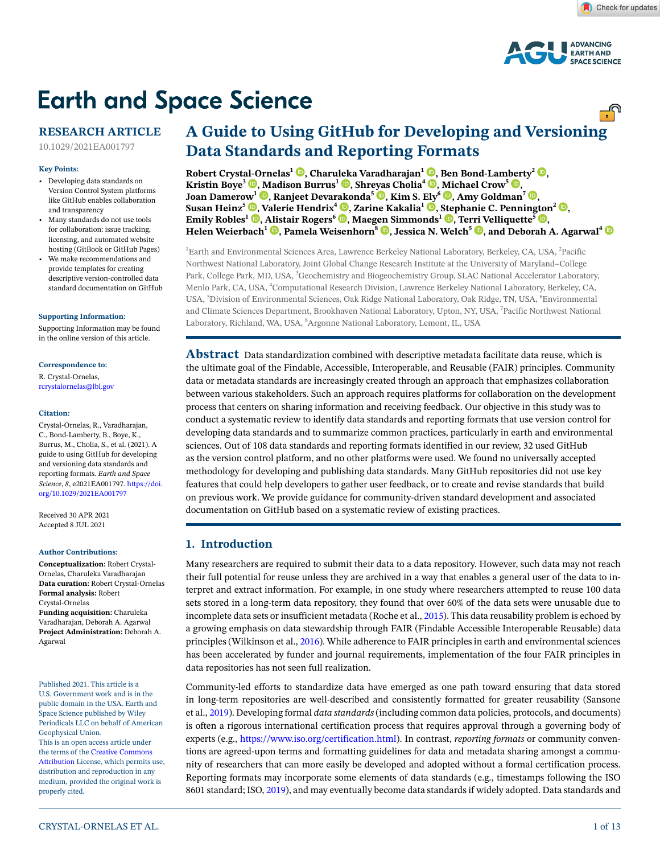

# **Earth and Space Science**

# **RESEARCH ARTICLE**

10.1029/2021EA001797

#### **Key Points:**

- Developing data standards on Version Control System platforms like GitHub enables collaboration and transparency
- Many standards do not use tools for collaboration: issue tracking, licensing, and automated website hosting (GitBook or GitHub Pages)
- We make recommendations and provide templates for creating descriptive version-controlled data standard documentation on GitHub

#### **[Supporting Information:](https://doi.org/10.1029/2021EA001797)**

[Supporting Information may be found](https://doi.org/10.1029/2021EA001797)  [in the online version of this article.](https://doi.org/10.1029/2021EA001797)

#### **Correspondence to:**

R. Crystal-Ornelas, rcrystalornelas@lbl.gov

#### **Citation:**

Crystal-Ornelas, R., Varadharajan, C., Bond-Lamberty, B., Boye, K., Burrus, M., Cholia, S., et al. (2021). A guide to using GitHub for developing and versioning data standards and reporting formats. *Earth and Space Science*, *8*, e2021EA001797. [https://doi.](https://doi.org/10.1029/2021EA001797) [org/10.1029/2021EA001797](https://doi.org/10.1029/2021EA001797)

Received 30 APR 2021 Accepted 8 JUL 2021

#### **Author Contributions:**

**Conceptualization:** Robert Crystal-Ornelas, Charuleka Varadharajan **Data curation:** Robert Crystal-Ornelas **Formal analysis:** Robert Crystal-Ornelas **Funding acquisition:** Charuleka Varadharajan, Deborah A. Agarwal **Project Administration:** Deborah A. Agarwal

Published 2021. This article is a U.S. Government work and is in the public domain in the USA. Earth and Space Science published by Wiley Periodicals LLC on behalf of American Geophysical Union. This is an open access article under

the terms of the [Creative Commons](http://creativecommons.org/licenses/by/4.0/)  [Attribution](http://creativecommons.org/licenses/by/4.0/) License, which permits use, distribution and reproduction in any medium, provided the original work is properly cited.

**Robert Cryst[al-O](https://orcid.org/0000-0003-2087-607X)rnelas1 [,](https://orcid.org/0000-0002-6339-1139) Charu[leka](https://orcid.org/0000-0003-2296-4698) Varadharajan<sup>1</sup> [,](https://orcid.org/0000-0002-4142-3224) Ben Bond-Lam[ber](https://orcid.org/0000-0002-7260-807X)ty2 [,](https://orcid.org/0000-0001-9525-4633) Kristin Boye<sup>3</sup> <b>D**[, M](https://orcid.org/0000-0003-2601-5043)adison Burrus<sup>1</sup> **D**, Shr[eyas](https://orcid.org/0000-0003-2661-1937) Cholia<sup>4</sup> **D**[,](https://orcid.org/0000-0002-4775-8201) [Mi](https://orcid.org/0000-0002-3915-001X)chael Crow<sup>5</sup> **D**, **Joan Damerow<sup>1</sup> <b>.**, Ranjeet Deva[rako](https://orcid.org/0000-0001-9061-8952)nda<sup>5</sup> **.**, Kim S. [Ely](https://orcid.org/0000-0001-9045-1160)<sup>6</sup> **.**[,](https://orcid.org/0000-0003-0490-6451) Amy Goldman<sup>7</sup> **.. Susan Heinz<sup>5</sup> <b>.** *[,](https://orcid.org/0000-0003-2685-1092)* Valerie Hendrix<sup>4</sup> **.** *, Zarine Kakalia*<sup>1</sup> **.** *, [Step](https://orcid.org/0000-0001-7796-7154)hanie C. Pennin[gton](https://orcid.org/0000-0001-9855-5191)*<sup>2</sup> **... Emily Robles<sup>1</sup> <b>.** [Alis](https://orcid.org/0000-0001-6348-9120)tair Rogers<sup>6</sup> **.** Maeg[en S](https://orcid.org/0000-0003-1844-5502)immonds<sup>1</sup> **.** Te[rri V](https://orcid.org/0000-0002-5987-6387)elliquette<sup>5</sup> **. Helen Weierbach<sup>1</sup> <b>.** Pamela Weisenhorn<sup>8</sup> **.** Jessica N. Welch<sup>5</sup> **.** and Deborah A. Agarwal<sup>4</sup> **.** 

<sup>1</sup>Earth and Environmental Sciences Area, Lawrence Berkeley National Laboratory, Berkeley, CA, USA, <sup>2</sup>Pacific Northwest National Laboratory, Joint Global Change Research Institute at the University of Maryland–College Park, College Park, MD, USA, <sup>3</sup>Geochemistry and Biogeochemistry Group, SLAC National Accelerator Laboratory, Menlo Park, CA, USA, <sup>4</sup>Computational Research Division, Lawrence Berkeley National Laboratory, Berkeley, CA, USA, <sup>5</sup>Division of Environmental Sciences, Oak Ridge National Laboratory, Oak Ridge, TN, USA, <sup>6</sup>Environmental and Climate Sciences Department, Brookhaven National Laboratory, Upton, NY, USA, <sup>7</sup> Pacific Northwest National Laboratory, Richland, WA, USA,  ${}^{8}$ Argonne National Laboratory, Lemont, IL, USA

**Abstract** Data standardization combined with descriptive metadata facilitate data reuse, which is the ultimate goal of the Findable, Accessible, Interoperable, and Reusable (FAIR) principles. Community data or metadata standards are increasingly created through an approach that emphasizes collaboration between various stakeholders. Such an approach requires platforms for collaboration on the development process that centers on sharing information and receiving feedback. Our objective in this study was to conduct a systematic review to identify data standards and reporting formats that use version control for developing data standards and to summarize common practices, particularly in earth and environmental sciences. Out of 108 data standards and reporting formats identified in our review, 32 used GitHub as the version control platform, and no other platforms were used. We found no universally accepted methodology for developing and publishing data standards. Many GitHub repositories did not use key features that could help developers to gather user feedback, or to create and revise standards that build on previous work. We provide guidance for community-driven standard development and associated documentation on GitHub based on a systematic review of existing practices.

# **1. Introduction**

Many researchers are required to submit their data to a data repository. However, such data may not reach their full potential for reuse unless they are archived in a way that enables a general user of the data to interpret and extract information. For example, in one study where researchers attempted to reuse 100 data sets stored in a long-term data repository, they found that over 60% of the data sets were unusable due to incomplete data sets or insufficient metadata (Roche et al., [2015](#page-11-0)). This data reusability problem is echoed by a growing emphasis on data stewardship through FAIR (Findable Accessible Interoperable Reusable) data principles (Wilkinson et al., [2016](#page-12-0)). While adherence to FAIR principles in earth and environmental sciences has been accelerated by funder and journal requirements, implementation of the four FAIR principles in data repositories has not seen full realization.

Community-led efforts to standardize data have emerged as one path toward ensuring that data stored in long-term repositories are well-described and consistently formatted for greater reusability (Sansone et al., [2019](#page-11-1)). Developing formal *data standards* (including common data policies, protocols, and documents) is often a rigorous international certification process that requires approval through a governing body of experts (e.g., [https://www.iso.org/certification.html\)](https://www.iso.org/certification.html). In contrast, *reporting formats* or community conventions are agreed-upon terms and formatting guidelines for data and metadata sharing amongst a community of researchers that can more easily be developed and adopted without a formal certification process. Reporting formats may incorporate some elements of data standards (e.g., timestamps following the ISO 8601 standard; ISO, [2019](#page-11-2)), and may eventually become data standards if widely adopted. Data standards and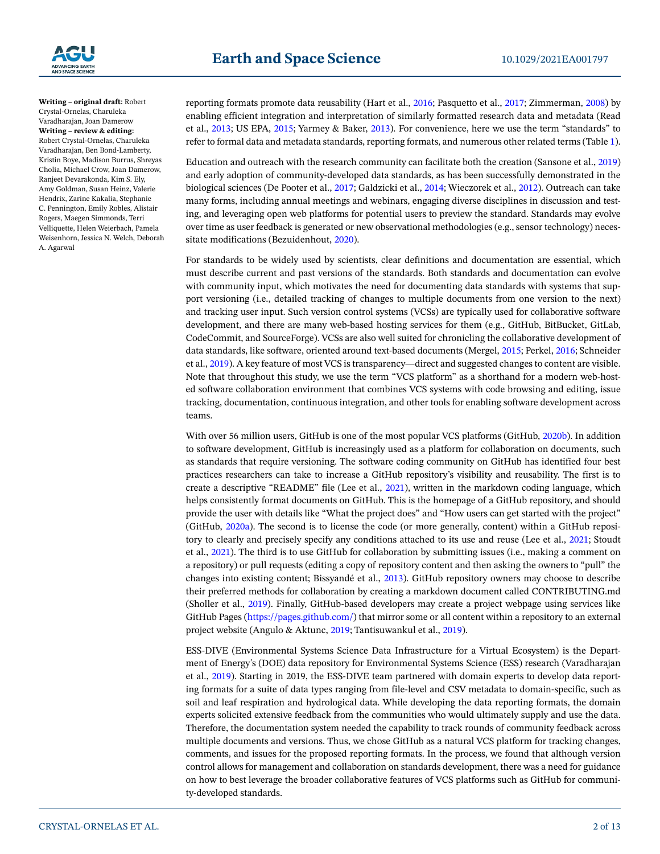

**Writing – original draft:** Robert Crystal-Ornelas, Charuleka Varadharajan, Joan Damerow **Writing – review & editing:**  Robert Crystal-Ornelas, Charuleka Varadharajan, Ben Bond-Lamberty, Kristin Boye, Madison Burrus, Shreyas Cholia, Michael Crow, Joan Damerow, Ranjeet Devarakonda, Kim S. Ely, Amy Goldman, Susan Heinz, Valerie Hendrix, Zarine Kakalia, Stephanie C. Pennington, Emily Robles, Alistair

Rogers, Maegen Simmonds, Terri Velliquette, Helen Weierbach, Pamela Weisenhorn, Jessica N. Welch, Deborah A. Agarwal

reporting formats promote data reusability (Hart et al., [2016](#page-11-3); Pasquetto et al., [2017](#page-11-4); Zimmerman, [2008\)](#page-12-1) by enabling efficient integration and interpretation of similarly formatted research data and metadata (Read et al., [2013](#page-11-5); US EPA, [2015](#page-11-6); Yarmey & Baker, [2013](#page-12-2)). For convenience, here we use the term "standards" to refer to formal data and metadata standards, reporting formats, and numerous other related terms (Table [1\)](#page-2-0).

Education and outreach with the research community can facilitate both the creation (Sansone et al., [2019\)](#page-11-1) and early adoption of community-developed data standards, as has been successfully demonstrated in the biological sciences (De Pooter et al., [2017](#page-11-7); Galdzicki et al., [2014;](#page-11-8) Wieczorek et al., [2012](#page-12-3)). Outreach can take many forms, including annual meetings and webinars, engaging diverse disciplines in discussion and testing, and leveraging open web platforms for potential users to preview the standard. Standards may evolve over time as user feedback is generated or new observational methodologies (e.g., sensor technology) necessitate modifications (Bezuidenhout, [2020](#page-10-0)).

For standards to be widely used by scientists, clear definitions and documentation are essential, which must describe current and past versions of the standards. Both standards and documentation can evolve with community input, which motivates the need for documenting data standards with systems that support versioning (i.e., detailed tracking of changes to multiple documents from one version to the next) and tracking user input. Such version control systems (VCSs) are typically used for collaborative software development, and there are many web-based hosting services for them (e.g., GitHub, BitBucket, GitLab, CodeCommit, and SourceForge). VCSs are also well suited for chronicling the collaborative development of data standards, like software, oriented around text-based documents (Mergel, [2015;](#page-11-9) Perkel, [2016;](#page-11-10) Schneider et al., [2019](#page-11-11)). A key feature of most VCS is transparency—direct and suggested changes to content are visible. Note that throughout this study, we use the term "VCS platform" as a shorthand for a modern web-hosted software collaboration environment that combines VCS systems with code browsing and editing, issue tracking, documentation, continuous integration, and other tools for enabling software development across teams.

With over 56 million users, GitHub is one of the most popular VCS platforms (GitHub, [2020b](#page-11-12)). In addition to software development, GitHub is increasingly used as a platform for collaboration on documents, such as standards that require versioning. The software coding community on GitHub has identified four best practices researchers can take to increase a GitHub repository's visibility and reusability. The first is to create a descriptive "README" file (Lee et al., [2021\)](#page-11-13), written in the markdown coding language, which helps consistently format documents on GitHub. This is the homepage of a GitHub repository, and should provide the user with details like "What the project does" and "How users can get started with the project" (GitHub, [2020a\)](#page-11-14). The second is to license the code (or more generally, content) within a GitHub repository to clearly and precisely specify any conditions attached to its use and reuse (Lee et al., [2021](#page-11-13); Stoudt et al., [2021\)](#page-11-15). The third is to use GitHub for collaboration by submitting issues (i.e., making a comment on a repository) or pull requests (editing a copy of repository content and then asking the owners to "pull" the changes into existing content; Bissyandé et al., [2013](#page-10-1)). GitHub repository owners may choose to describe their preferred methods for collaboration by creating a markdown document called CONTRIBUTING.md (Sholler et al., [2019](#page-11-16)). Finally, GitHub-based developers may create a project webpage using services like GitHub Pages [\(https://pages.github.com/\)](https://pages.github.com/) that mirror some or all content within a repository to an external project website (Angulo & Aktunc, [2019;](#page-10-2) Tantisuwankul et al., [2019\)](#page-11-17).

ESS-DIVE (Environmental Systems Science Data Infrastructure for a Virtual Ecosystem) is the Department of Energy's (DOE) data repository for Environmental Systems Science (ESS) research (Varadharajan et al., [2019](#page-12-4)). Starting in 2019, the ESS-DIVE team partnered with domain experts to develop data reporting formats for a suite of data types ranging from file-level and CSV metadata to domain-specific, such as soil and leaf respiration and hydrological data. While developing the data reporting formats, the domain experts solicited extensive feedback from the communities who would ultimately supply and use the data. Therefore, the documentation system needed the capability to track rounds of community feedback across multiple documents and versions. Thus, we chose GitHub as a natural VCS platform for tracking changes, comments, and issues for the proposed reporting formats. In the process, we found that although version control allows for management and collaboration on standards development, there was a need for guidance on how to best leverage the broader collaborative features of VCS platforms such as GitHub for community-developed standards.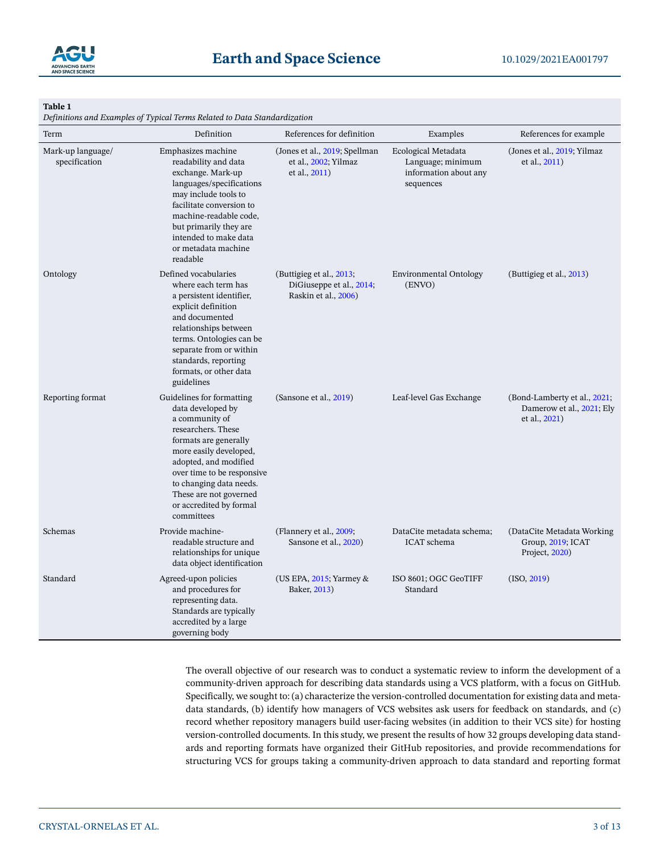

# <span id="page-2-0"></span>**Table 1**

*Definitions and Examples of Typical Terms Related to Data Standardization*

| Term                               | Definition                                                                                                                                                                                                                                                                                     | References for definition                                                    | Examples                                                                       | References for example                                                     |
|------------------------------------|------------------------------------------------------------------------------------------------------------------------------------------------------------------------------------------------------------------------------------------------------------------------------------------------|------------------------------------------------------------------------------|--------------------------------------------------------------------------------|----------------------------------------------------------------------------|
| Mark-up language/<br>specification | Emphasizes machine<br>readability and data<br>exchange. Mark-up<br>languages/specifications<br>may include tools to<br>facilitate conversion to<br>machine-readable code,<br>but primarily they are<br>intended to make data<br>or metadata machine<br>readable                                | (Jones et al., 2019; Spellman<br>et al., 2002; Yilmaz<br>et al., 2011)       | Ecological Metadata<br>Language; minimum<br>information about any<br>sequences | (Jones et al., 2019; Yilmaz<br>et al., 2011)                               |
| Ontology                           | Defined vocabularies<br>where each term has<br>a persistent identifier,<br>explicit definition<br>and documented<br>relationships between<br>terms. Ontologies can be<br>separate from or within<br>standards, reporting<br>formats, or other data<br>guidelines                               | (Buttigieg et al., 2013;<br>DiGiuseppe et al., 2014;<br>Raskin et al., 2006) | <b>Environmental Ontology</b><br>(ENVO)                                        | (Buttigieg et al., 2013)                                                   |
| Reporting format                   | Guidelines for formatting<br>data developed by<br>a community of<br>researchers. These<br>formats are generally<br>more easily developed,<br>adopted, and modified<br>over time to be responsive<br>to changing data needs.<br>These are not governed<br>or accredited by formal<br>committees | (Sansone et al., 2019)                                                       | Leaf-level Gas Exchange                                                        | (Bond-Lamberty et al., 2021,<br>Damerow et al., 2021; Ely<br>et al., 2021) |
| Schemas                            | Provide machine-<br>readable structure and<br>relationships for unique<br>data object identification                                                                                                                                                                                           | (Flannery et al., 2009;<br>Sansone et al., 2020)                             | DataCite metadata schema;<br>ICAT schema                                       | (DataCite Metadata Working)<br>Group, 2019; ICAT<br>Project, 2020)         |
| Standard                           | Agreed-upon policies<br>and procedures for<br>representing data.<br>Standards are typically<br>accredited by a large<br>governing body                                                                                                                                                         | (US EPA, $2015$ ; Yarmey &<br>Baker, 2013)                                   | ISO 8601; OGC GeoTIFF<br>Standard                                              | (ISO, 2019)                                                                |

The overall objective of our research was to conduct a systematic review to inform the development of a community-driven approach for describing data standards using a VCS platform, with a focus on GitHub. Specifically, we sought to: (a) characterize the version-controlled documentation for existing data and metadata standards, (b) identify how managers of VCS websites ask users for feedback on standards, and (c) record whether repository managers build user-facing websites (in addition to their VCS site) for hosting version-controlled documents. In this study, we present the results of how 32 groups developing data standards and reporting formats have organized their GitHub repositories, and provide recommendations for structuring VCS for groups taking a community-driven approach to data standard and reporting format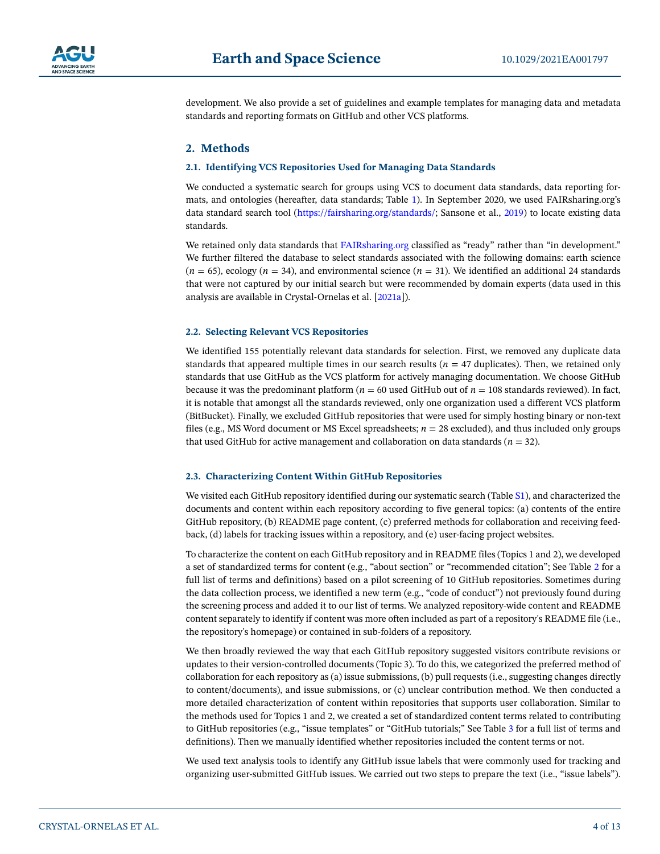

development. We also provide a set of guidelines and example templates for managing data and metadata standards and reporting formats on GitHub and other VCS platforms.

# **2. Methods**

#### **2.1. Identifying VCS Repositories Used for Managing Data Standards**

We conducted a systematic search for groups using VCS to document data standards, data reporting formats, and ontologies (hereafter, data standards; Table [1\)](#page-2-0). In September 2020, we used FAIRsharing.org's data standard search tool (<https://fairsharing.org/standards/>; Sansone et al., [2019\)](#page-11-1) to locate existing data standards.

We retained only data standards that [FAIRsharing.org](http://FAIRsharing.org) classified as "ready" rather than "in development." We further filtered the database to select standards associated with the following domains: earth science  $(n = 65)$ , ecology  $(n = 34)$ , and environmental science  $(n = 31)$ . We identified an additional 24 standards that were not captured by our initial search but were recommended by domain experts (data used in this analysis are available in Crystal-Ornelas et al. [\[2021a](#page-11-29)]).

### **2.2. Selecting Relevant VCS Repositories**

We identified 155 potentially relevant data standards for selection. First, we removed any duplicate data standards that appeared multiple times in our search results ( $n = 47$  duplicates). Then, we retained only standards that use GitHub as the VCS platform for actively managing documentation. We choose GitHub because it was the predominant platform ( $n = 60$  used GitHub out of  $n = 108$  standards reviewed). In fact, it is notable that amongst all the standards reviewed, only one organization used a different VCS platform (BitBucket). Finally, we excluded GitHub repositories that were used for simply hosting binary or non-text files (e.g., MS Word document or MS Excel spreadsheets;  $n = 28$  excluded), and thus included only groups that used GitHub for active management and collaboration on data standards  $(n = 32)$ .

#### **2.3. Characterizing Content Within GitHub Repositories**

We visited each GitHub repository identified during our systematic search (Table S1), and characterized the documents and content within each repository according to five general topics: (a) contents of the entire GitHub repository, (b) README page content, (c) preferred methods for collaboration and receiving feedback, (d) labels for tracking issues within a repository, and (e) user-facing project websites.

To characterize the content on each GitHub repository and in README files (Topics 1 and 2), we developed a set of standardized terms for content (e.g., "about section" or "recommended citation"; See Table [2](#page-4-0) for a full list of terms and definitions) based on a pilot screening of 10 GitHub repositories. Sometimes during the data collection process, we identified a new term (e.g., "code of conduct") not previously found during the screening process and added it to our list of terms. We analyzed repository-wide content and README content separately to identify if content was more often included as part of a repository's README file (i.e., the repository's homepage) or contained in sub-folders of a repository.

We then broadly reviewed the way that each GitHub repository suggested visitors contribute revisions or updates to their version-controlled documents (Topic 3). To do this, we categorized the preferred method of collaboration for each repository as (a) issue submissions, (b) pull requests (i.e., suggesting changes directly to content/documents), and issue submissions, or (c) unclear contribution method. We then conducted a more detailed characterization of content within repositories that supports user collaboration. Similar to the methods used for Topics 1 and 2, we created a set of standardized content terms related to contributing to GitHub repositories (e.g., "issue templates" or "GitHub tutorials;" See Table [3](#page-4-1) for a full list of terms and definitions). Then we manually identified whether repositories included the content terms or not.

We used text analysis tools to identify any GitHub issue labels that were commonly used for tracking and organizing user-submitted GitHub issues. We carried out two steps to prepare the text (i.e., "issue labels").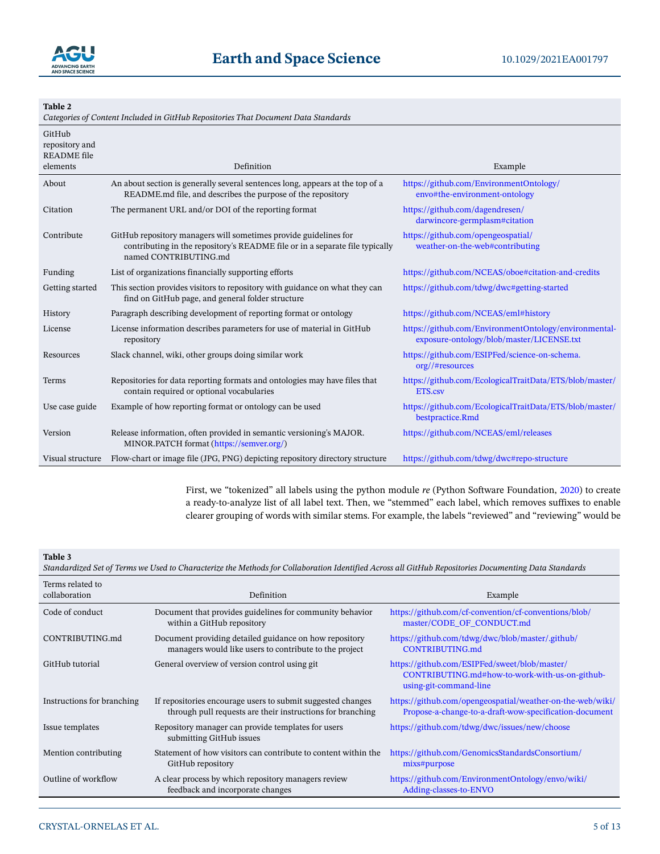

### <span id="page-4-0"></span>**Table 2**

*Categories of Content Included in GitHub Repositories That Document Data Standards*

| GitHub<br>repository and       |                                                                                                                                                                           |                                                                                                    |
|--------------------------------|---------------------------------------------------------------------------------------------------------------------------------------------------------------------------|----------------------------------------------------------------------------------------------------|
| <b>README</b> file<br>elements | Definition                                                                                                                                                                | Example                                                                                            |
|                                |                                                                                                                                                                           |                                                                                                    |
| About                          | An about section is generally several sentences long, appears at the top of a<br>README.md file, and describes the purpose of the repository                              | https://github.com/EnvironmentOntology/<br>envo#the-environment-ontology                           |
| Citation                       | The permanent URL and/or DOI of the reporting format                                                                                                                      | https://github.com/dagendresen/<br>darwincore-germplasm#citation                                   |
| Contribute                     | GitHub repository managers will sometimes provide guidelines for<br>contributing in the repository's README file or in a separate file typically<br>named CONTRIBUTING.md | https://github.com/opengeospatial/<br>weather-on-the-web#contributing                              |
| Funding                        | List of organizations financially supporting efforts                                                                                                                      | https://github.com/NCEAS/oboe#citation-and-credits                                                 |
| Getting started                | This section provides visitors to repository with guidance on what they can<br>find on GitHub page, and general folder structure                                          | https://github.com/tdwg/dwc#getting-started                                                        |
| History                        | Paragraph describing development of reporting format or ontology                                                                                                          | https://github.com/NCEAS/eml#history                                                               |
| License                        | License information describes parameters for use of material in GitHub<br>repository                                                                                      | https://github.com/EnvironmentOntology/environmental-<br>exposure-ontology/blob/master/LICENSE.txt |
| Resources                      | Slack channel, wiki, other groups doing similar work                                                                                                                      | https://github.com/ESIPFed/science-on-schema.<br>org//#resources                                   |
| Terms                          | Repositories for data reporting formats and ontologies may have files that<br>contain required or optional vocabularies                                                   | https://github.com/EcologicalTraitData/ETS/blob/master/<br>ETS.csv                                 |
| Use case guide                 | Example of how reporting format or ontology can be used                                                                                                                   | https://github.com/EcologicalTraitData/ETS/blob/master/<br>bestpractice.Rmd                        |
| Version                        | Release information, often provided in semantic versioning's MAJOR.<br>MINOR.PATCH format (https://semver.org/)                                                           | https://github.com/NCEAS/eml/releases                                                              |
| Visual structure               | Flow-chart or image file (JPG, PNG) depicting repository directory structure                                                                                              | https://github.com/tdwg/dwc#repo-structure                                                         |

First, we "tokenized" all labels using the python module *re* (Python Software Foundation, [2020](#page-11-30)) to create a ready-to-analyze list of all label text. Then, we "stemmed" each label, which removes suffixes to enable clearer grouping of words with similar stems. For example, the labels "reviewed" and "reviewing" would be

### <span id="page-4-1"></span>**Table 3**

*Standardized Set of Terms we Used to Characterize the Methods for Collaboration Identified Across all GitHub Repositories Documenting Data Standards*

| Terms related to<br>collaboration | Definition                                                                                                                | Example                                                                                                                   |
|-----------------------------------|---------------------------------------------------------------------------------------------------------------------------|---------------------------------------------------------------------------------------------------------------------------|
| Code of conduct                   | Document that provides guidelines for community behavior<br>within a GitHub repository                                    | https://github.com/cf-convention/cf-conventions/blob/<br>master/CODE OF CONDUCT.md                                        |
| CONTRIBUTING.md                   | Document providing detailed guidance on how repository<br>managers would like users to contribute to the project          | https://github.com/tdwg/dwc/blob/master/.github/<br>CONTRIBUTING.md                                                       |
| GitHub tutorial                   | General overview of version control using git.                                                                            | https://github.com/ESIPFed/sweet/blob/master/<br>CONTRIBUTING.md#how-to-work-with-us-on-github-<br>using-git-command-line |
| Instructions for branching        | If repositories encourage users to submit suggested changes<br>through pull requests are their instructions for branching | https://github.com/opengeospatial/weather-on-the-web/wiki/<br>Propose-a-change-to-a-draft-wow-specification-document      |
| Issue templates                   | Repository manager can provide templates for users<br>submitting GitHub issues                                            | https://github.com/tdwg/dwc/issues/new/choose                                                                             |
| Mention contributing              | Statement of how visitors can contribute to content within the<br>GitHub repository                                       | https://github.com/GenomicsStandardsConsortium/<br>mixs#purpose                                                           |
| Outline of workflow               | A clear process by which repository managers review<br>feedback and incorporate changes                                   | https://github.com/EnvironmentOntology/envo/wiki/<br>Adding-classes-to-ENVO                                               |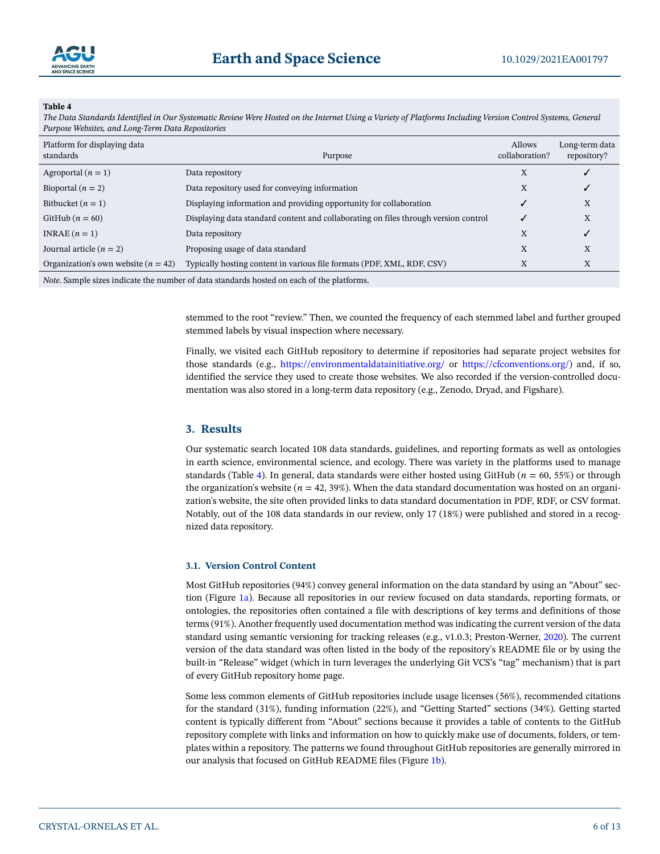### <span id="page-5-0"></span>**Table 4**

*The Data Standards Identified in Our Systematic Review Were Hosted on the Internet Using a Variety of Platforms Including Version Control Systems, General Purpose Websites, and Long-Term Data Repositories*

| Platform for displaying data<br>standards | Purpose                                                                             | <b>Allows</b><br>collaboration? | Long-term data<br>repository? |
|-------------------------------------------|-------------------------------------------------------------------------------------|---------------------------------|-------------------------------|
| Agroportal $(n = 1)$                      | Data repository                                                                     | X                               |                               |
| Bioportal $(n = 2)$                       | Data repository used for conveying information                                      | X                               |                               |
| Bitbucket $(n = 1)$                       | Displaying information and providing opportunity for collaboration                  |                                 | X                             |
| GitHub $(n = 60)$                         | Displaying data standard content and collaborating on files through version control | ر                               | X                             |
| INRAE $(n=1)$                             | Data repository                                                                     | X                               | √                             |
| Journal article $(n = 2)$                 | Proposing usage of data standard                                                    | X                               | X                             |
| Organization's own website $(n = 42)$     | Typically hosting content in various file formats (PDF, XML, RDF, CSV)              | X                               | X                             |
|                                           | se a tributan territorian territorian                                               |                                 |                               |

*Note*. Sample sizes indicate the number of data standards hosted on each of the platforms.

stemmed to the root "review." Then, we counted the frequency of each stemmed label and further grouped stemmed labels by visual inspection where necessary.

Finally, we visited each GitHub repository to determine if repositories had separate project websites for those standards (e.g., <https://environmentaldatainitiative.org/>or <https://cfconventions.org/>) and, if so, identified the service they used to create those websites. We also recorded if the version-controlled documentation was also stored in a long-term data repository (e.g., Zenodo, Dryad, and Figshare).

### **3. Results**

Our systematic search located 108 data standards, guidelines, and reporting formats as well as ontologies in earth science, environmental science, and ecology. There was variety in the platforms used to manage standards (Table [4\)](#page-5-0). In general, data standards were either hosted using GitHub (*n* = 60, 55%) or through the organization's website ( $n = 42, 39\%$ ). When the data standard documentation was hosted on an organization's website, the site often provided links to data standard documentation in PDF, RDF, or CSV format. Notably, out of the 108 data standards in our review, only 17 (18%) were published and stored in a recognized data repository.

### **3.1. Version Control Content**

Most GitHub repositories (94%) convey general information on the data standard by using an "About" section (Figure [1a\)](#page-6-0). Because all repositories in our review focused on data standards, reporting formats, or ontologies, the repositories often contained a file with descriptions of key terms and definitions of those terms (91%). Another frequently used documentation method was indicating the current version of the data standard using semantic versioning for tracking releases (e.g., v1.0.3; Preston-Werner, [2020](#page-11-31)). The current version of the data standard was often listed in the body of the repository's README file or by using the built-in "Release" widget (which in turn leverages the underlying Git VCS's "tag" mechanism) that is part of every GitHub repository home page.

Some less common elements of GitHub repositories include usage licenses (56%), recommended citations for the standard (31%), funding information (22%), and "Getting Started" sections (34%). Getting started content is typically different from "About" sections because it provides a table of contents to the GitHub repository complete with links and information on how to quickly make use of documents, folders, or templates within a repository. The patterns we found throughout GitHub repositories are generally mirrored in our analysis that focused on GitHub README files (Figure [1b](#page-6-0)).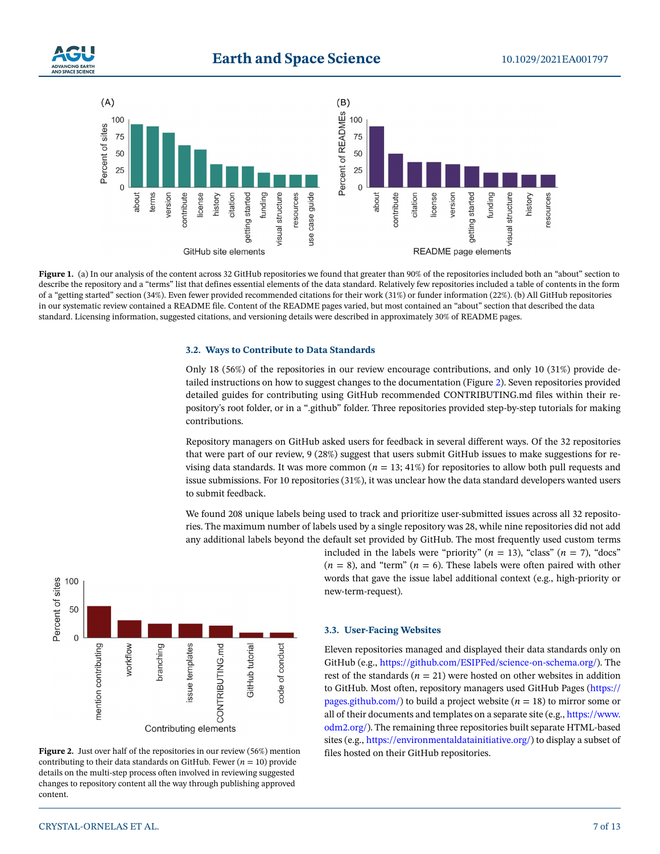



<span id="page-6-0"></span>Figure 1. (a) In our analysis of the content across 32 GitHub repositories we found that greater than 90% of the repositories included both an "about" section to describe the repository and a "terms" list that defines essential elements of the data standard. Relatively few repositories included a table of contents in the form of a "getting started" section (34%). Even fewer provided recommended citations for their work (31%) or funder information (22%). (b) All GitHub repositories in our systematic review contained a README file. Content of the README pages varied, but most contained an "about" section that described the data standard. Licensing information, suggested citations, and versioning details were described in approximately 30% of README pages.

### **3.2. Ways to Contribute to Data Standards**

Only 18 (56%) of the repositories in our review encourage contributions, and only 10 (31%) provide detailed instructions on how to suggest changes to the documentation (Figure [2](#page-6-1)). Seven repositories provided detailed guides for contributing using GitHub recommended CONTRIBUTING.md files within their repository's root folder, or in a ".github" folder. Three repositories provided step-by-step tutorials for making contributions.

Repository managers on GitHub asked users for feedback in several different ways. Of the 32 repositories that were part of our review, 9 (28%) suggest that users submit GitHub issues to make suggestions for revising data standards. It was more common  $(n = 13; 41%)$  for repositories to allow both pull requests and issue submissions. For 10 repositories (31%), it was unclear how the data standard developers wanted users to submit feedback.

We found 208 unique labels being used to track and prioritize user-submitted issues across all 32 repositories. The maximum number of labels used by a single repository was 28, while nine repositories did not add any additional labels beyond the default set provided by GitHub. The most frequently used custom terms



<span id="page-6-1"></span>Figure 2. Just over half of the repositories in our review (56%) mention contributing to their data standards on GitHub. Fewer  $(n = 10)$  provide details on the multi-step process often involved in reviewing suggested changes to repository content all the way through publishing approved content.

# included in the labels were "priority"  $(n = 13)$ , "class"  $(n = 7)$ , "docs"  $(n = 8)$ , and "term"  $(n = 6)$ . These labels were often paired with other words that gave the issue label additional context (e.g., high-priority or new-term-request).

### **3.3. User-Facing Websites**

Eleven repositories managed and displayed their data standards only on GitHub (e.g., [https://github.com/ESIPFed/science-on-schema.org/\)](https://github.com/ESIPFed/science%2Don%2Dschema.org/). The rest of the standards  $(n = 21)$  were hosted on other websites in addition to GitHub. Most often, repository managers used GitHub Pages ([https://](https://pages.github.com/) [pages.github.com/](https://pages.github.com/)) to build a project website  $(n = 18)$  to mirror some or all of their documents and templates on a separate site (e.g., [https://www.](https://www.odm2.org/) [odm2.org/\)](https://www.odm2.org/). The remaining three repositories built separate HTML-based sites (e.g., <https://environmentaldatainitiative.org/>) to display a subset of files hosted on their GitHub repositories.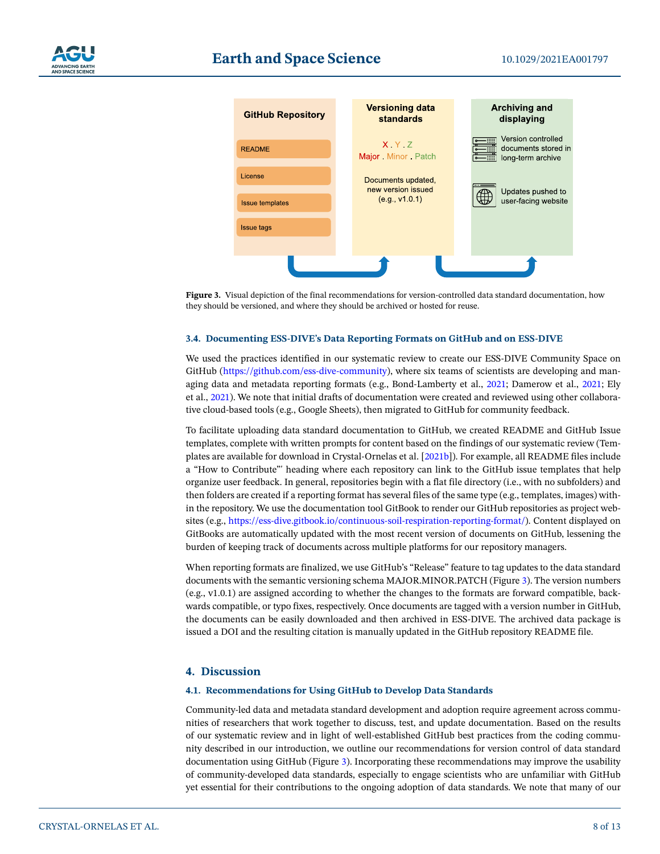

<span id="page-7-0"></span>**Figure 3.** Visual depiction of the final recommendations for version-controlled data standard documentation, how they should be versioned, and where they should be archived or hosted for reuse.

### **3.4. Documenting ESS-DIVE's Data Reporting Formats on GitHub and on ESS-DIVE**

We used the practices identified in our systematic review to create our ESS-DIVE Community Space on GitHub [\(https://github.com/ess-dive-community](https://github.com/ess%2Ddive%2Dcommunity)), where six teams of scientists are developing and managing data and metadata reporting formats (e.g., Bond-Lamberty et al., [2021;](#page-10-3) Damerow et al., [2021](#page-11-23); Ely et al., [2021](#page-11-24)). We note that initial drafts of documentation were created and reviewed using other collaborative cloud-based tools (e.g., Google Sheets), then migrated to GitHub for community feedback.

To facilitate uploading data standard documentation to GitHub, we created README and GitHub Issue templates, complete with written prompts for content based on the findings of our systematic review (Templates are available for download in Crystal-Ornelas et al. [\[2021b\]](#page-11-32)). For example, all README files include a "How to Contribute"' heading where each repository can link to the GitHub issue templates that help organize user feedback. In general, repositories begin with a flat file directory (i.e., with no subfolders) and then folders are created if a reporting format has several files of the same type (e.g., templates, images) within the repository. We use the documentation tool GitBook to render our GitHub repositories as project websites (e.g., <https://ess-dive.gitbook.io/continuous-soil-respiration-reporting-format/>). Content displayed on GitBooks are automatically updated with the most recent version of documents on GitHub, lessening the burden of keeping track of documents across multiple platforms for our repository managers.

When reporting formats are finalized, we use GitHub's "Release" feature to tag updates to the data standard documents with the semantic versioning schema MAJOR.MINOR.PATCH (Figure [3\)](#page-7-0). The version numbers (e.g., v1.0.1) are assigned according to whether the changes to the formats are forward compatible, backwards compatible, or typo fixes, respectively. Once documents are tagged with a version number in GitHub, the documents can be easily downloaded and then archived in ESS-DIVE. The archived data package is issued a DOI and the resulting citation is manually updated in the GitHub repository README file.

### **4. Discussion**

### **4.1. Recommendations for Using GitHub to Develop Data Standards**

Community-led data and metadata standard development and adoption require agreement across communities of researchers that work together to discuss, test, and update documentation. Based on the results of our systematic review and in light of well-established GitHub best practices from the coding community described in our introduction, we outline our recommendations for version control of data standard documentation using GitHub (Figure [3\)](#page-7-0). Incorporating these recommendations may improve the usability of community-developed data standards, especially to engage scientists who are unfamiliar with GitHub yet essential for their contributions to the ongoing adoption of data standards. We note that many of our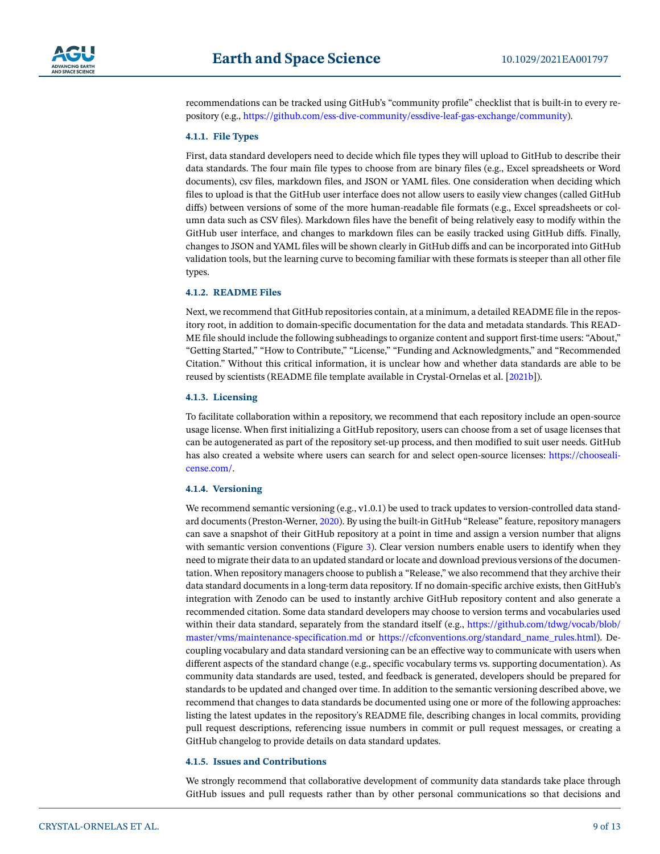

recommendations can be tracked using GitHub's "community profile" checklist that is built-in to every repository (e.g., [https://github.com/ess-dive-community/essdive-leaf-gas-exchange/community](https://github.com/ess%2Ddive%2Dcommunity/essdive%2Dleaf%2Dgas%2Dexchange/community)).

### **4.1.1. File Types**

First, data standard developers need to decide which file types they will upload to GitHub to describe their data standards. The four main file types to choose from are binary files (e.g., Excel spreadsheets or Word documents), csv files, markdown files, and JSON or YAML files. One consideration when deciding which files to upload is that the GitHub user interface does not allow users to easily view changes (called GitHub diffs) between versions of some of the more human-readable file formats (e.g., Excel spreadsheets or column data such as CSV files). Markdown files have the benefit of being relatively easy to modify within the GitHub user interface, and changes to markdown files can be easily tracked using GitHub diffs. Finally, changes to JSON and YAML files will be shown clearly in GitHub diffs and can be incorporated into GitHub validation tools, but the learning curve to becoming familiar with these formats is steeper than all other file types.

### **4.1.2. README Files**

Next, we recommend that GitHub repositories contain, at a minimum, a detailed README file in the repository root, in addition to domain-specific documentation for the data and metadata standards. This READ-ME file should include the following subheadings to organize content and support first-time users: "About," "Getting Started," "How to Contribute," "License," "Funding and Acknowledgments," and "Recommended Citation." Without this critical information, it is unclear how and whether data standards are able to be reused by scientists (README file template available in Crystal-Ornelas et al. [\[2021b\]](#page-11-32)).

### **4.1.3. Licensing**

To facilitate collaboration within a repository, we recommend that each repository include an open-source usage license. When first initializing a GitHub repository, users can choose from a set of usage licenses that can be autogenerated as part of the repository set-up process, and then modified to suit user needs. GitHub has also created a website where users can search for and select open-source licenses: [https://chooseali](https://choosealicense.com/)[cense.com/.](https://choosealicense.com/)

#### **4.1.4. Versioning**

We recommend semantic versioning (e.g., v1.0.1) be used to track updates to version-controlled data standard documents (Preston-Werner, [2020\)](#page-11-31). By using the built-in GitHub "Release" feature, repository managers can save a snapshot of their GitHub repository at a point in time and assign a version number that aligns with semantic version conventions (Figure [3](#page-7-0)). Clear version numbers enable users to identify when they need to migrate their data to an updated standard or locate and download previous versions of the documentation. When repository managers choose to publish a "Release," we also recommend that they archive their data standard documents in a long-term data repository. If no domain-specific archive exists, then GitHub's integration with Zenodo can be used to instantly archive GitHub repository content and also generate a recommended citation. Some data standard developers may choose to version terms and vocabularies used within their data standard, separately from the standard itself (e.g., [https://github.com/tdwg/vocab/blob/](https://github.com/tdwg/vocab/blob/master/vms/maintenance%2Dspecification.md) [master/vms/maintenance-specification.md](https://github.com/tdwg/vocab/blob/master/vms/maintenance%2Dspecification.md) or [https://cfconventions.org/standard\\_name\\_rules.html\)](https://cfconventions.org/standard%5Fname%5Frules.html). Decoupling vocabulary and data standard versioning can be an effective way to communicate with users when different aspects of the standard change (e.g., specific vocabulary terms vs. supporting documentation). As community data standards are used, tested, and feedback is generated, developers should be prepared for standards to be updated and changed over time. In addition to the semantic versioning described above, we recommend that changes to data standards be documented using one or more of the following approaches: listing the latest updates in the repository's README file, describing changes in local commits, providing pull request descriptions, referencing issue numbers in commit or pull request messages, or creating a GitHub changelog to provide details on data standard updates.

#### **4.1.5. Issues and Contributions**

We strongly recommend that collaborative development of community data standards take place through GitHub issues and pull requests rather than by other personal communications so that decisions and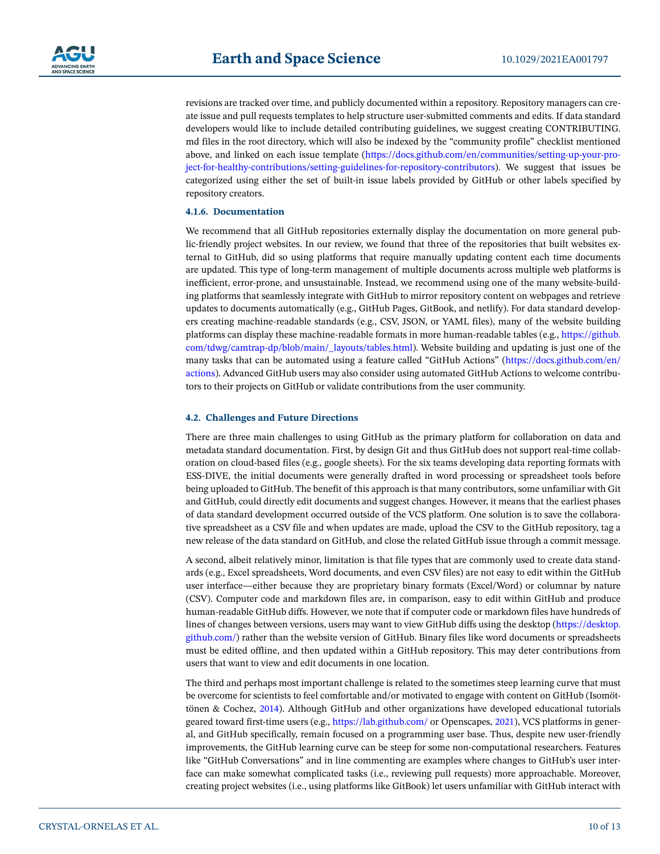

revisions are tracked over time, and publicly documented within a repository. Repository managers can create issue and pull requests templates to help structure user-submitted comments and edits. If data standard developers would like to include detailed contributing guidelines, we suggest creating CONTRIBUTING. md files in the root directory, which will also be indexed by the "community profile" checklist mentioned above, and linked on each issue template ([https://docs.github.com/en/communities/setting-up-your-pro](https://docs.github.com/en/communities/setting%2Dup%2Dyour%2Dproject%2Dfor%2Dhealthy%2Dcontributions/setting%2Dguidelines%2Dfor%2Drepository%2Dcontributors)[ject-for-healthy-contributions/setting-guidelines-for-repository-contributors](https://docs.github.com/en/communities/setting%2Dup%2Dyour%2Dproject%2Dfor%2Dhealthy%2Dcontributions/setting%2Dguidelines%2Dfor%2Drepository%2Dcontributors)). We suggest that issues be categorized using either the set of built-in issue labels provided by GitHub or other labels specified by repository creators.

### **4.1.6. Documentation**

We recommend that all GitHub repositories externally display the documentation on more general public-friendly project websites. In our review, we found that three of the repositories that built websites external to GitHub, did so using platforms that require manually updating content each time documents are updated. This type of long-term management of multiple documents across multiple web platforms is inefficient, error-prone, and unsustainable. Instead, we recommend using one of the many website-building platforms that seamlessly integrate with GitHub to mirror repository content on webpages and retrieve updates to documents automatically (e.g., GitHub Pages, GitBook, and netlify). For data standard developers creating machine-readable standards (e.g., CSV, JSON, or YAML files), many of the website building platforms can display these machine-readable formats in more human-readable tables (e.g., [https://github.](https://github.com/tdwg/camtrap%2Ddp/blob/main/%5Flayouts/tables.html) [com/tdwg/camtrap-dp/blob/main/\\_layouts/tables.html\)](https://github.com/tdwg/camtrap%2Ddp/blob/main/%5Flayouts/tables.html). Website building and updating is just one of the many tasks that can be automated using a feature called "GitHub Actions" [\(https://docs.github.com/en/](https://docs.github.com/en/actions) [actions\)](https://docs.github.com/en/actions). Advanced GitHub users may also consider using automated GitHub Actions to welcome contributors to their projects on GitHub or validate contributions from the user community.

### **4.2. Challenges and Future Directions**

There are three main challenges to using GitHub as the primary platform for collaboration on data and metadata standard documentation. First, by design Git and thus GitHub does not support real-time collaboration on cloud-based files (e.g., google sheets). For the six teams developing data reporting formats with ESS-DIVE, the initial documents were generally drafted in word processing or spreadsheet tools before being uploaded to GitHub. The benefit of this approach is that many contributors, some unfamiliar with Git and GitHub, could directly edit documents and suggest changes. However, it means that the earliest phases of data standard development occurred outside of the VCS platform. One solution is to save the collaborative spreadsheet as a CSV file and when updates are made, upload the CSV to the GitHub repository, tag a new release of the data standard on GitHub, and close the related GitHub issue through a commit message.

A second, albeit relatively minor, limitation is that file types that are commonly used to create data standards (e.g., Excel spreadsheets, Word documents, and even CSV files) are not easy to edit within the GitHub user interface—either because they are proprietary binary formats (Excel/Word) or columnar by nature (CSV). Computer code and markdown files are, in comparison, easy to edit within GitHub and produce human-readable GitHub diffs. However, we note that if computer code or markdown files have hundreds of lines of changes between versions, users may want to view GitHub diffs using the desktop ([https://desktop.](https://desktop.github.com/) [github.com/](https://desktop.github.com/)) rather than the website version of GitHub. Binary files like word documents or spreadsheets must be edited offline, and then updated within a GitHub repository. This may deter contributions from users that want to view and edit documents in one location.

The third and perhaps most important challenge is related to the sometimes steep learning curve that must be overcome for scientists to feel comfortable and/or motivated to engage with content on GitHub (Isomöttönen & Cochez, [2014\)](#page-11-33). Although GitHub and other organizations have developed educational tutorials geared toward first-time users (e.g., <https://lab.github.com/> or Openscapes, [2021](#page-11-34)), VCS platforms in general, and GitHub specifically, remain focused on a programming user base. Thus, despite new user-friendly improvements, the GitHub learning curve can be steep for some non-computational researchers. Features like "GitHub Conversations" and in line commenting are examples where changes to GitHub's user interface can make somewhat complicated tasks (i.e., reviewing pull requests) more approachable. Moreover, creating project websites (i.e., using platforms like GitBook) let users unfamiliar with GitHub interact with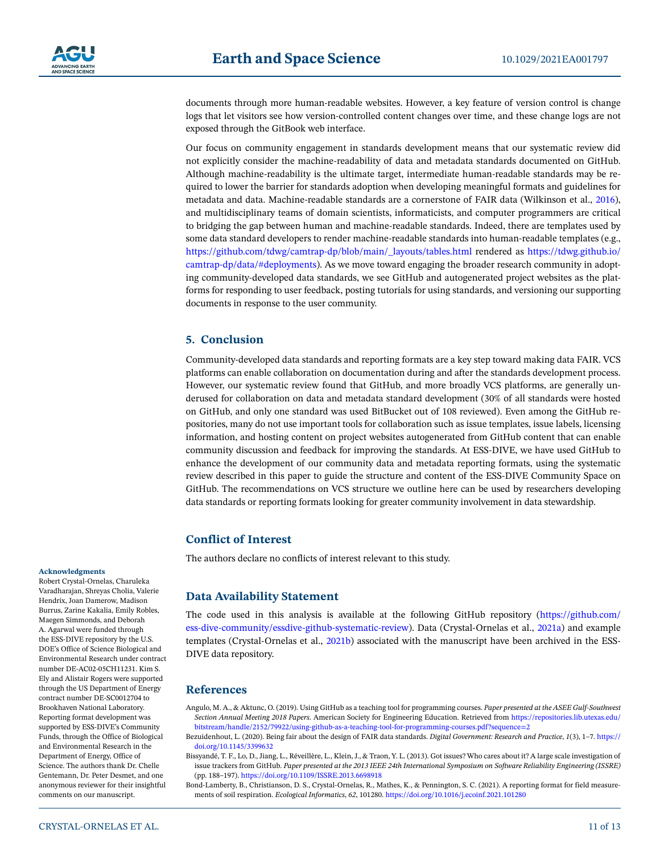documents through more human-readable websites. However, a key feature of version control is change logs that let visitors see how version-controlled content changes over time, and these change logs are not exposed through the GitBook web interface.

Our focus on community engagement in standards development means that our systematic review did not explicitly consider the machine-readability of data and metadata standards documented on GitHub. Although machine-readability is the ultimate target, intermediate human-readable standards may be required to lower the barrier for standards adoption when developing meaningful formats and guidelines for metadata and data. Machine-readable standards are a cornerstone of FAIR data (Wilkinson et al., [2016\)](#page-12-0), and multidisciplinary teams of domain scientists, informaticists, and computer programmers are critical to bridging the gap between human and machine-readable standards. Indeed, there are templates used by some data standard developers to render machine-readable standards into human-readable templates (e.g., [https://github.com/tdwg/camtrap-dp/blob/main/\\_layouts/tables.html](https://github.com/tdwg/camtrap%2Ddp/blob/main/%5Flayouts/tables.html) rendered as [https://tdwg.github.io/](https://tdwg.github.io/camtrap%2Ddp/data/) [camtrap-dp/data/#deployments\)](https://tdwg.github.io/camtrap%2Ddp/data/). As we move toward engaging the broader research community in adopting community-developed data standards, we see GitHub and autogenerated project websites as the platforms for responding to user feedback, posting tutorials for using standards, and versioning our supporting documents in response to the user community.

### **5. Conclusion**

Community-developed data standards and reporting formats are a key step toward making data FAIR. VCS platforms can enable collaboration on documentation during and after the standards development process. However, our systematic review found that GitHub, and more broadly VCS platforms, are generally underused for collaboration on data and metadata standard development (30% of all standards were hosted on GitHub, and only one standard was used BitBucket out of 108 reviewed). Even among the GitHub repositories, many do not use important tools for collaboration such as issue templates, issue labels, licensing information, and hosting content on project websites autogenerated from GitHub content that can enable community discussion and feedback for improving the standards. At ESS-DIVE, we have used GitHub to enhance the development of our community data and metadata reporting formats, using the systematic review described in this paper to guide the structure and content of the ESS-DIVE Community Space on GitHub. The recommendations on VCS structure we outline here can be used by researchers developing data standards or reporting formats looking for greater community involvement in data stewardship.

# **Conflict of Interest**

The authors declare no conflicts of interest relevant to this study.

# **Data Availability Statement**

The code used in this analysis is available at the following GitHub repository [\(https://github.com/](https://github.com/ess%2Ddive%2Dcommunity/essdive%2Dgithub%2Dsystematic%2Dreview) [ess-dive-community/essdive-github-systematic-review](https://github.com/ess%2Ddive%2Dcommunity/essdive%2Dgithub%2Dsystematic%2Dreview)). Data (Crystal-Ornelas et al., [2021a\)](#page-11-29) and example templates (Crystal-Ornelas et al., [2021b](#page-11-32)) associated with the manuscript have been archived in the ESS-DIVE data repository.

### **References**

<span id="page-10-2"></span>Angulo, M. A., & Aktunc, O. (2019). Using GitHub as a teaching tool for programming courses. *Paper presented at the ASEE Gulf-Southwest Section Annual Meeting 2018 Papers*. American Society for Engineering Education. Retrieved from [https://repositories.lib.utexas.edu/](https://repositories.lib.utexas.edu/bitstream/handle/2152/79922/using%2Dgithub%2Das%2Da%2Dteaching%2Dtool%2Dfor%2Dprogramming%2Dcourses.pdf%3Fsequence%3D2) [bitstream/handle/2152/79922/using-github-as-a-teaching-tool-for-programming-courses.pdf?sequence=2](https://repositories.lib.utexas.edu/bitstream/handle/2152/79922/using%2Dgithub%2Das%2Da%2Dteaching%2Dtool%2Dfor%2Dprogramming%2Dcourses.pdf%3Fsequence%3D2)

<span id="page-10-0"></span>Bezuidenhout, L. (2020). Being fair about the design of FAIR data standards. *Digital Government: Research and Practice*, *1*(3), 1–7. [https://](https://doi.org/10.1145/3399632) [doi.org/10.1145/3399632](https://doi.org/10.1145/3399632)

<span id="page-10-1"></span>Bissyandé, T. F., Lo, D., Jiang, L., Réveillère, L., Klein, J., & Traon, Y. L. (2013). Got issues? Who cares about it? A large scale investigation of issue trackers from GitHub. *Paper presented at the 2013 IEEE 24th International Symposium on Software Reliability Engineering (ISSRE)* (pp. 188–197). <https://doi.org/10.1109/ISSRE.2013.6698918>

<span id="page-10-3"></span>Bond-Lamberty, B., Christianson, D. S., Crystal-Ornelas, R., Mathes, K., & Pennington, S. C. (2021). A reporting format for field measurements of soil respiration. *Ecological Informatics*, *62*, 101280. <https://doi.org/10.1016/j.ecoinf.2021.101280>

#### **Acknowledgments** Robert Crystal-Ornelas, Charuleka

Varadharajan, Shreyas Cholia, Valerie Hendrix, Joan Damerow, Madison Burrus, Zarine Kakalia, Emily Robles, Maegen Simmonds, and Deborah A. Agarwal were funded through the ESS-DIVE repository by the U.S. DOE's Office of Science Biological and Environmental Research under contract number DE-AC02-05CH11231. Kim S. Ely and Alistair Rogers were supported through the US Department of Energy contract number DE-SC0012704 to Brookhaven National Laboratory. Reporting format development was supported by ESS-DIVE's Community Funds, through the Office of Biological and Environmental Research in the Department of Energy, Office of Science. The authors thank Dr. Chelle Gentemann, Dr. Peter Desmet, and one anonymous reviewer for their insightful comments on our manuscript.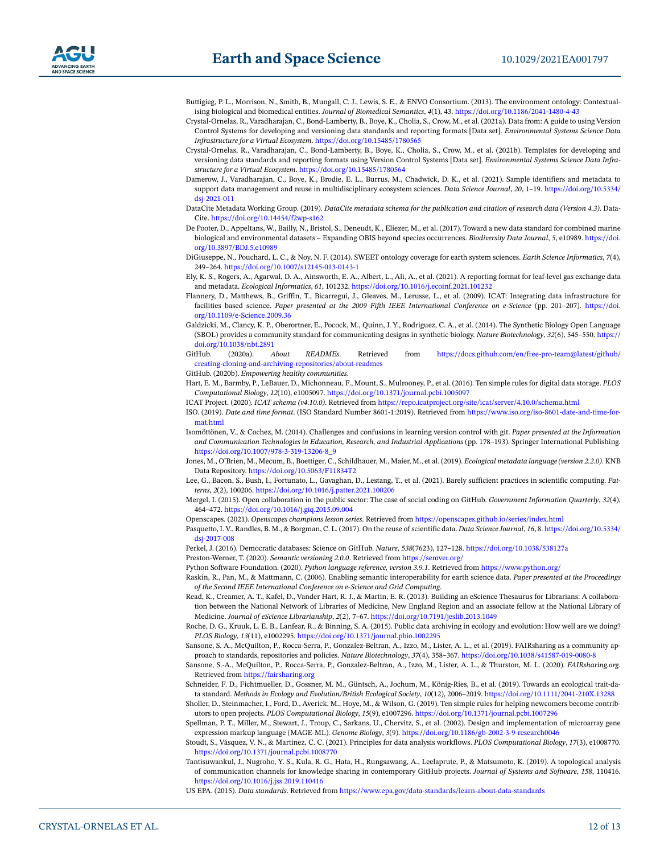- <span id="page-11-20"></span>Buttigieg, P. L., Morrison, N., Smith, B., Mungall, C. J., Lewis, S. E., & ENVO Consortium. (2013). The environment ontology: Contextualising biological and biomedical entities. *Journal of Biomedical Semantics*, *4*(1), 43. [https://doi.org/10.1186/2041-1480-4-43](https://doi.org/10.1186/2041-1480-4%2D43)
- <span id="page-11-29"></span>Crystal-Ornelas, R., Varadharajan, C., Bond-Lamberty, B., Boye, K., Cholia, S., Crow, M., et al. (2021a). Data from: A guide to using Version Control Systems for developing and versioning data standards and reporting formats [Data set]. *Environmental Systems Science Data Infrastructure for a Virtual Ecosystem*.<https://doi.org/10.15485/1780565>
- <span id="page-11-32"></span>Crystal-Ornelas, R., Varadharajan, C., Bond-Lamberty, B., Boye, K., Cholia, S., Crow, M., et al. (2021b). Templates for developing and versioning data standards and reporting formats using Version Control Systems [Data set]. *Environmental Systems Science Data Infrastructure for a Virtual Ecosystem*. <https://doi.org/10.15485/1780564>
- <span id="page-11-23"></span>Damerow, J., Varadharajan, C., Boye, K., Brodie, E. L., Burrus, M., Chadwick, D. K., et al. (2021). Sample identifiers and metadata to support data management and reuse in multidisciplinary ecosystem sciences. *Data Science Journal*, *20*, 1–19. [https://doi.org/10.5334/](https://doi.org/10.5334/dsj%2D2021-011) [dsj-2021-011](https://doi.org/10.5334/dsj%2D2021-011)
- <span id="page-11-27"></span>DataCite Metadata Working Group. (2019). *DataCite metadata schema for the publication and citation of research data (Version 4.3)*. Data-Cite. <https://doi.org/10.14454/f2wp-s162>
- <span id="page-11-7"></span>De Pooter, D., Appeltans, W., Bailly, N., Bristol, S., Deneudt, K., Eliezer, M., et al. (2017). Toward a new data standard for combined marine biological and environmental datasets – Expanding OBIS beyond species occurrences. *Biodiversity Data Journal*, *5*, e10989. [https://doi.](https://doi.org/10.3897/BDJ.5.e10989) [org/10.3897/BDJ.5.e10989](https://doi.org/10.3897/BDJ.5.e10989)
- <span id="page-11-21"></span>DiGiuseppe, N., Pouchard, L. C., & Noy, N. F. (2014). SWEET ontology coverage for earth system sciences. *Earth Science Informatics*, *7*(4), 249–264.<https://doi.org/10.1007/s12145-013-0143-1>
- <span id="page-11-24"></span>Ely, K. S., Rogers, A., Agarwal, D. A., Ainsworth, E. A., Albert, L., Ali, A., et al. (2021). A reporting format for leaf-level gas exchange data and metadata. *Ecological Informatics*, *61*, 101232.<https://doi.org/10.1016/j.ecoinf.2021.101232>
- <span id="page-11-25"></span>Flannery, D., Matthews, B., Griffin, T., Bicarregui, J., Gleaves, M., Lerusse, L., et al. (2009). ICAT: Integrating data infrastructure for facilities based science. *Paper presented at the 2009 Fifth IEEE International Conference on e-Science* (pp. 201–207). [https://doi.](https://doi.org/10.1109/e%2DScience.2009.36) [org/10.1109/e-Science.2009.36](https://doi.org/10.1109/e%2DScience.2009.36)
- <span id="page-11-8"></span>Galdzicki, M., Clancy, K. P., Oberortner, E., Pocock, M., Quinn, J. Y., Rodriguez, C. A., et al. (2014). The Synthetic Biology Open Language (SBOL) provides a community standard for communicating designs in synthetic biology. *Nature Biotechnology*, *32*(6), 545–550. [https://](https://doi.org/10.1038/nbt.2891) [doi.org/10.1038/nbt.2891](https://doi.org/10.1038/nbt.2891)<br>GitHub (2020a) *A*
- <span id="page-11-14"></span>GitHub. (2020a). *About READMEs*. Retrieved from [https://docs.github.com/en/free-pro-team@latest/github/](https://docs.github.com/en/free%2Dpro%2Dteam%40latest/github/creating%2Dcloning%2Dand%2Darchiving%2Drepositories/about%2Dreadmes) [creating-cloning-and-archiving-repositories/about-readmes](https://docs.github.com/en/free%2Dpro%2Dteam%40latest/github/creating%2Dcloning%2Dand%2Darchiving%2Drepositories/about%2Dreadmes)
- <span id="page-11-12"></span>GitHub. (2020b). *Empowering healthy communities*.
- <span id="page-11-3"></span>Hart, E. M., Barmby, P., LeBauer, D., Michonneau, F., Mount, S., Mulrooney, P., et al. (2016). Ten simple rules for digital data storage. *PLOS Computational Biology*, *12*(10), e1005097. <https://doi.org/10.1371/journal.pcbi.1005097>

<span id="page-11-28"></span>ICAT Project. (2020). *ICAT schema (v4.10.0)*. Retrieved from <https://repo.icatproject.org/site/icat/server/4.10.0/schema.html>

- <span id="page-11-2"></span>ISO. (2019). *Date and time format*. (ISO Standard Number 8601-1:2019). Retrieved from [https://www.iso.org/iso-8601-date-and-time-for](https://www.iso.org/iso%2D8601%2Ddate%2Dand%2Dtime%2Dformat.html)[mat.html](https://www.iso.org/iso%2D8601%2Ddate%2Dand%2Dtime%2Dformat.html)
- <span id="page-11-33"></span>Isomöttönen, V., & Cochez, M. (2014). Challenges and confusions in learning version control with git. *Paper presented at the Information and Communication Technologies in Education, Research, and Industrial Applications* (pp. 178–193). Springer International Publishing. [https://doi.org/10.1007/978-3-319-13206-8\\_9](https://doi.org/10.1007/978-3%2D319-13206-8%5F9)
- <span id="page-11-18"></span>Jones, M., O'Brien, M., Mecum, B., Boettiger, C., Schildhauer, M., Maier, M., et al. (2019). *Ecological metadata language (version 2.2.0)*. KNB Data Repository. <https://doi.org/10.5063/F11834T2>
- <span id="page-11-13"></span>Lee, G., Bacon, S., Bush, I., Fortunato, L., Gavaghan, D., Lestang, T., et al. (2021). Barely sufficient practices in scientific computing. *Patterns*, *2*(2), 100206.<https://doi.org/10.1016/j.patter.2021.100206>
- <span id="page-11-9"></span>Mergel, I. (2015). Open collaboration in the public sector: The case of social coding on GitHub. *Government Information Quarterly*, *32*(4), 464–472.<https://doi.org/10.1016/j.giq.2015.09.004>
- <span id="page-11-34"></span>Openscapes. (2021). *Openscapes champions lesson series*. Retrieved from<https://openscapes.github.io/series/index.html>
- <span id="page-11-4"></span>Pasquetto, I. V., Randles, B. M., & Borgman, C. L. (2017). On the reuse of scientific data. *Data Science Journal*, *16*, 8. [https://doi.org/10.5334/](https://doi.org/10.5334/dsj%2D2017-008) [dsj-2017-008](https://doi.org/10.5334/dsj%2D2017-008)
- <span id="page-11-31"></span><span id="page-11-10"></span>Perkel, J. (2016). Democratic databases: Science on GitHub. *Nature*, *538*(7623), 127–128.<https://doi.org/10.1038/538127a> Preston-Werner, T. (2020). *Semantic versioning 2.0.0*. Retrieved from<https://semver.org/>
- <span id="page-11-30"></span>Python Software Foundation. (2020). *Python language reference, version 3.9.1*. Retrieved from<https://www.python.org/>
- <span id="page-11-22"></span>Raskin, R., Pan, M., & Mattmann, C. (2006). Enabling semantic interoperability for earth science data. *Paper presented at the Proceedings of the Second IEEE International Conference on e-Science and Grid Computing*.
- <span id="page-11-5"></span>Read, K., Creamer, A. T., Kafel, D., Vander Hart, R. J., & Martin, E. R. (2013). Building an eScience Thesaurus for Librarians: A collaboration between the National Network of Libraries of Medicine, New England Region and an associate fellow at the National Library of Medicine. *Journal of eScience Librarianship*, *2*(2), 7–67.<https://doi.org/10.7191/jeslib.2013.1049>
- <span id="page-11-0"></span>Roche, D. G., Kruuk, L. E. B., Lanfear, R., & Binning, S. A. (2015). Public data archiving in ecology and evolution: How well are we doing? *PLOS Biology*, *13*(11), e1002295. <https://doi.org/10.1371/journal.pbio.1002295>
- <span id="page-11-1"></span>Sansone, S. A., McQuilton, P., Rocca-Serra, P., Gonzalez-Beltran, A., Izzo, M., Lister, A. L., et al. (2019). FAIRsharing as a community approach to standards, repositories and policies. *Nature Biotechnology*, *37*(4), 358–367.<https://doi.org/10.1038/s41587-019-0080-8>
- <span id="page-11-26"></span>Sansone, S.-A., McQuilton, P., Rocca-Serra, P., Gonzalez-Beltran, A., Izzo, M., Lister, A. L., & Thurston, M. L. (2020). *FAIRsharing.org*. Retrieved from<https://fairsharing.org>
- <span id="page-11-11"></span>Schneider, F. D., Fichtmueller, D., Gossner, M. M., Güntsch, A., Jochum, M., König-Ries, B., et al. (2019). Towards an ecological trait-data standard. *Methods in Ecology and Evolution/British Ecological Society*, *10*(12), 2006–2019. <https://doi.org/10.1111/2041-210X.13288>
- <span id="page-11-16"></span>Sholler, D., Steinmacher, I., Ford, D., Averick, M., Hoye, M., & Wilson, G. (2019). Ten simple rules for helping newcomers become contributors to open projects. *PLOS Computational Biology*, *15*(9), e1007296.<https://doi.org/10.1371/journal.pcbi.1007296>
- <span id="page-11-19"></span>Spellman, P. T., Miller, M., Stewart, J., Troup, C., Sarkans, U., Chervitz, S., et al. (2002). Design and implementation of microarray gene expression markup language (MAGE-ML). *Genome Biology*, *3*(9). [https://doi.org/10.1186/gb-2002-3-9-research0046](https://doi.org/10.1186/gb%2D2002-3%2D9%2Dresearch0046)
- <span id="page-11-15"></span>Stoudt, S., Vásquez, V. N., & Martinez, C. C. (2021). Principles for data analysis workflows. *PLOS Computational Biology*, *17*(3), e1008770. <https://doi.org/10.1371/journal.pcbi.1008770>
- <span id="page-11-17"></span>Tantisuwankul, J., Nugroho, Y. S., Kula, R. G., Hata, H., Rungsawang, A., Leelaprute, P., & Matsumoto, K. (2019). A topological analysis of communication channels for knowledge sharing in contemporary GitHub projects. *Journal of Systems and Software*, *158*, 110416. <https://doi.org/10.1016/j.jss.2019.110416>

<span id="page-11-6"></span>US EPA. (2015). *Data standards*. Retrieved from [https://www.epa.gov/data-standards/learn-about-data-standards](https://www.epa.gov/data%2Dstandards/learn%2Dabout%2Ddata%2Dstandards)